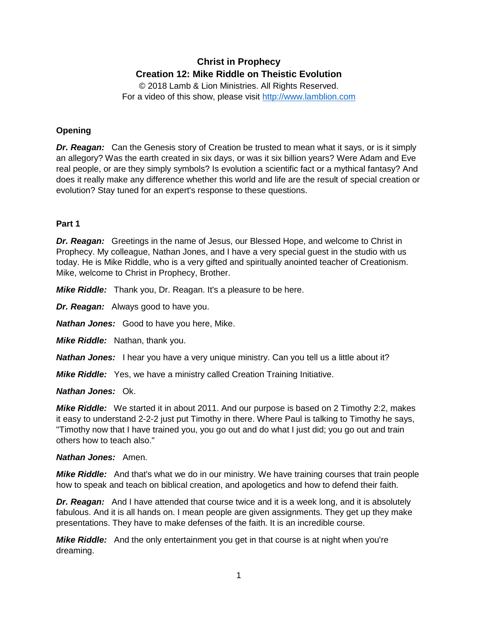# **Christ in Prophecy Creation 12: Mike Riddle on Theistic Evolution**

© 2018 Lamb & Lion Ministries. All Rights Reserved. For a video of this show, please visit [http://www.lamblion.com](http://www.lamblion.com/)

# **Opening**

**Dr. Reagan:** Can the Genesis story of Creation be trusted to mean what it says, or is it simply an allegory? Was the earth created in six days, or was it six billion years? Were Adam and Eve real people, or are they simply symbols? Is evolution a scientific fact or a mythical fantasy? And does it really make any difference whether this world and life are the result of special creation or evolution? Stay tuned for an expert's response to these questions.

# **Part 1**

**Dr. Reagan:** Greetings in the name of Jesus, our Blessed Hope, and welcome to Christ in Prophecy. My colleague, Nathan Jones, and I have a very special guest in the studio with us today. He is Mike Riddle, who is a very gifted and spiritually anointed teacher of Creationism. Mike, welcome to Christ in Prophecy, Brother.

*Mike Riddle:* Thank you, Dr. Reagan. It's a pleasure to be here.

*Dr. Reagan:* Always good to have you.

*Nathan Jones:* Good to have you here, Mike.

*Mike Riddle:* Nathan, thank you.

*Nathan Jones:* I hear you have a very unique ministry. Can you tell us a little about it?

*Mike Riddle:* Yes, we have a ministry called Creation Training Initiative.

*Nathan Jones:* Ok.

*Mike Riddle:* We started it in about 2011. And our purpose is based on 2 Timothy 2:2, makes it easy to understand 2-2-2 just put Timothy in there. Where Paul is talking to Timothy he says, "Timothy now that I have trained you, you go out and do what I just did; you go out and train others how to teach also."

# *Nathan Jones:* Amen.

*Mike Riddle:* And that's what we do in our ministry. We have training courses that train people how to speak and teach on biblical creation, and apologetics and how to defend their faith.

**Dr. Reagan:** And I have attended that course twice and it is a week long, and it is absolutely fabulous. And it is all hands on. I mean people are given assignments. They get up they make presentations. They have to make defenses of the faith. It is an incredible course.

*Mike Riddle:* And the only entertainment you get in that course is at night when you're dreaming.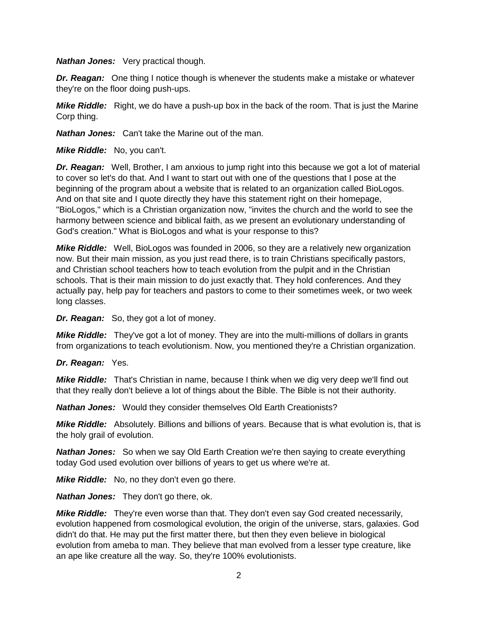*Nathan Jones:* Very practical though.

*Dr. Reagan:* One thing I notice though is whenever the students make a mistake or whatever they're on the floor doing push-ups.

*Mike Riddle:* Right, we do have a push-up box in the back of the room. That is just the Marine Corp thing.

*Nathan Jones:* Can't take the Marine out of the man.

*Mike Riddle:* No, you can't.

**Dr. Reagan:** Well, Brother, I am anxious to jump right into this because we got a lot of material to cover so let's do that. And I want to start out with one of the questions that I pose at the beginning of the program about a website that is related to an organization called BioLogos. And on that site and I quote directly they have this statement right on their homepage, "BioLogos," which is a Christian organization now, "invites the church and the world to see the harmony between science and biblical faith, as we present an evolutionary understanding of God's creation." What is BioLogos and what is your response to this?

*Mike Riddle:* Well, BioLogos was founded in 2006, so they are a relatively new organization now. But their main mission, as you just read there, is to train Christians specifically pastors, and Christian school teachers how to teach evolution from the pulpit and in the Christian schools. That is their main mission to do just exactly that. They hold conferences. And they actually pay, help pay for teachers and pastors to come to their sometimes week, or two week long classes.

*Dr. Reagan:* So, they got a lot of money.

*Mike Riddle:* They've got a lot of money. They are into the multi-millions of dollars in grants from organizations to teach evolutionism. Now, you mentioned they're a Christian organization.

*Dr. Reagan:* Yes.

*Mike Riddle:* That's Christian in name, because I think when we dig very deep we'll find out that they really don't believe a lot of things about the Bible. The Bible is not their authority.

*Nathan Jones:* Would they consider themselves Old Earth Creationists?

*Mike Riddle:* Absolutely. Billions and billions of years. Because that is what evolution is, that is the holy grail of evolution.

**Nathan Jones:** So when we say Old Earth Creation we're then saying to create everything today God used evolution over billions of years to get us where we're at.

*Mike Riddle:* No, no they don't even go there.

*Nathan Jones:* They don't go there, ok.

*Mike Riddle:* They're even worse than that. They don't even say God created necessarily, evolution happened from cosmological evolution, the origin of the universe, stars, galaxies. God didn't do that. He may put the first matter there, but then they even believe in biological evolution from ameba to man. They believe that man evolved from a lesser type creature, like an ape like creature all the way. So, they're 100% evolutionists.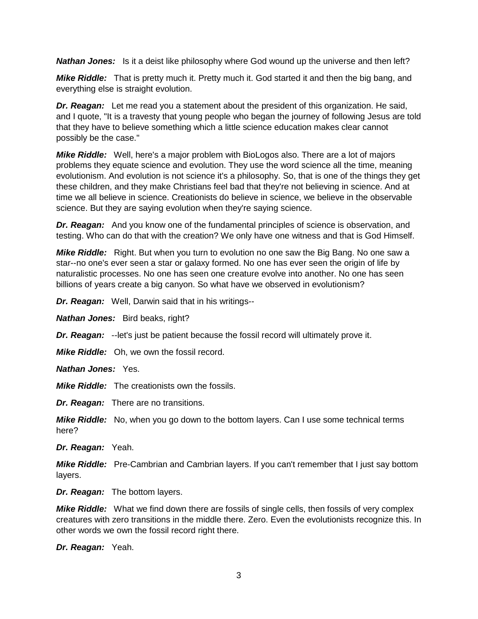**Nathan Jones:** Is it a deist like philosophy where God wound up the universe and then left?

*Mike Riddle:* That is pretty much it. Pretty much it. God started it and then the big bang, and everything else is straight evolution.

*Dr. Reagan:* Let me read you a statement about the president of this organization. He said, and I quote, "It is a travesty that young people who began the journey of following Jesus are told that they have to believe something which a little science education makes clear cannot possibly be the case."

*Mike Riddle:* Well, here's a major problem with BioLogos also. There are a lot of majors problems they equate science and evolution. They use the word science all the time, meaning evolutionism. And evolution is not science it's a philosophy. So, that is one of the things they get these children, and they make Christians feel bad that they're not believing in science. And at time we all believe in science. Creationists do believe in science, we believe in the observable science. But they are saying evolution when they're saying science.

**Dr. Reagan:** And you know one of the fundamental principles of science is observation, and testing. Who can do that with the creation? We only have one witness and that is God Himself.

*Mike Riddle:* Right. But when you turn to evolution no one saw the Big Bang. No one saw a star--no one's ever seen a star or galaxy formed. No one has ever seen the origin of life by naturalistic processes. No one has seen one creature evolve into another. No one has seen billions of years create a big canyon. So what have we observed in evolutionism?

*Dr. Reagan:* Well, Darwin said that in his writings--

*Nathan Jones:* Bird beaks, right?

*Dr. Reagan:* --let's just be patient because the fossil record will ultimately prove it.

*Mike Riddle:* Oh, we own the fossil record.

*Nathan Jones:* Yes.

*Mike Riddle:* The creationists own the fossils.

*Dr. Reagan:* There are no transitions.

*Mike Riddle:* No, when you go down to the bottom layers. Can I use some technical terms here?

*Dr. Reagan:* Yeah.

*Mike Riddle:* Pre-Cambrian and Cambrian layers. If you can't remember that I just say bottom layers.

*Dr. Reagan:* The bottom layers.

*Mike Riddle:* What we find down there are fossils of single cells, then fossils of very complex creatures with zero transitions in the middle there. Zero. Even the evolutionists recognize this. In other words we own the fossil record right there.

*Dr. Reagan:* Yeah.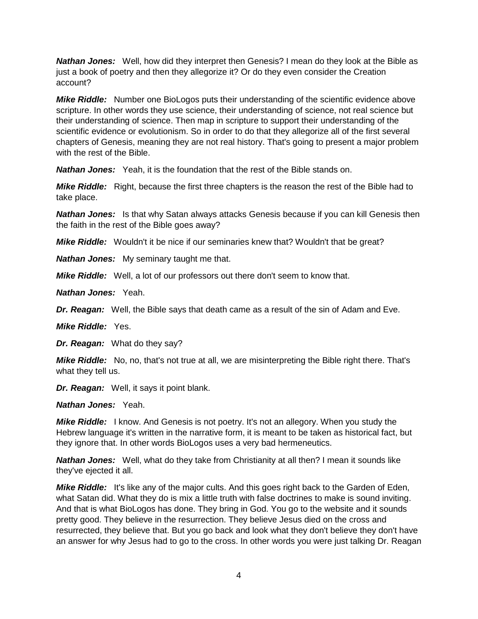**Nathan Jones:** Well, how did they interpret then Genesis? I mean do they look at the Bible as just a book of poetry and then they allegorize it? Or do they even consider the Creation account?

*Mike Riddle:* Number one BioLogos puts their understanding of the scientific evidence above scripture. In other words they use science, their understanding of science, not real science but their understanding of science. Then map in scripture to support their understanding of the scientific evidence or evolutionism. So in order to do that they allegorize all of the first several chapters of Genesis, meaning they are not real history. That's going to present a major problem with the rest of the Bible.

*Nathan Jones:* Yeah, it is the foundation that the rest of the Bible stands on.

*Mike Riddle:* Right, because the first three chapters is the reason the rest of the Bible had to take place.

**Nathan Jones:** Is that why Satan always attacks Genesis because if you can kill Genesis then the faith in the rest of the Bible goes away?

*Mike Riddle:* Wouldn't it be nice if our seminaries knew that? Wouldn't that be great?

*Nathan Jones:* My seminary taught me that.

*Mike Riddle:* Well, a lot of our professors out there don't seem to know that.

*Nathan Jones:* Yeah.

**Dr. Reagan:** Well, the Bible says that death came as a result of the sin of Adam and Eve.

*Mike Riddle:* Yes.

*Dr. Reagan:* What do they say?

*Mike Riddle:* No, no, that's not true at all, we are misinterpreting the Bible right there. That's what they tell us.

*Dr. Reagan:* Well, it says it point blank.

*Nathan Jones:* Yeah.

*Mike Riddle:* I know. And Genesis is not poetry. It's not an allegory. When you study the Hebrew language it's written in the narrative form, it is meant to be taken as historical fact, but they ignore that. In other words BioLogos uses a very bad hermeneutics.

*Nathan Jones:* Well, what do they take from Christianity at all then? I mean it sounds like they've ejected it all.

*Mike Riddle:* It's like any of the major cults. And this goes right back to the Garden of Eden, what Satan did. What they do is mix a little truth with false doctrines to make is sound inviting. And that is what BioLogos has done. They bring in God. You go to the website and it sounds pretty good. They believe in the resurrection. They believe Jesus died on the cross and resurrected, they believe that. But you go back and look what they don't believe they don't have an answer for why Jesus had to go to the cross. In other words you were just talking Dr. Reagan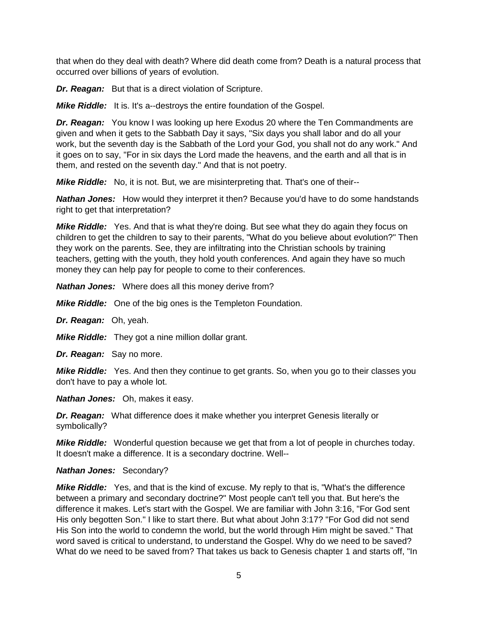that when do they deal with death? Where did death come from? Death is a natural process that occurred over billions of years of evolution.

**Dr. Reagan:** But that is a direct violation of Scripture.

*Mike Riddle:* It is. It's a--destroys the entire foundation of the Gospel.

**Dr. Reagan:** You know I was looking up here Exodus 20 where the Ten Commandments are given and when it gets to the Sabbath Day it says, "Six days you shall labor and do all your work, but the seventh day is the Sabbath of the Lord your God, you shall not do any work." And it goes on to say, "For in six days the Lord made the heavens, and the earth and all that is in them, and rested on the seventh day." And that is not poetry.

*Mike Riddle:* No, it is not. But, we are misinterpreting that. That's one of their--

*Nathan Jones:* How would they interpret it then? Because you'd have to do some handstands right to get that interpretation?

**Mike Riddle:** Yes. And that is what they're doing. But see what they do again they focus on children to get the children to say to their parents, "What do you believe about evolution?" Then they work on the parents. See, they are infiltrating into the Christian schools by training teachers, getting with the youth, they hold youth conferences. And again they have so much money they can help pay for people to come to their conferences.

*Nathan Jones:* Where does all this money derive from?

*Mike Riddle:* One of the big ones is the Templeton Foundation.

*Dr. Reagan:* Oh, yeah.

*Mike Riddle:* They got a nine million dollar grant.

*Dr. Reagan:* Say no more.

*Mike Riddle:* Yes. And then they continue to get grants. So, when you go to their classes you don't have to pay a whole lot.

*Nathan Jones:* Oh, makes it easy.

*Dr. Reagan:* What difference does it make whether you interpret Genesis literally or symbolically?

*Mike Riddle:* Wonderful question because we get that from a lot of people in churches today. It doesn't make a difference. It is a secondary doctrine. Well--

# *Nathan Jones:* Secondary?

*Mike Riddle:* Yes, and that is the kind of excuse. My reply to that is, "What's the difference between a primary and secondary doctrine?" Most people can't tell you that. But here's the difference it makes. Let's start with the Gospel. We are familiar with John 3:16, "For God sent His only begotten Son." I like to start there. But what about John 3:17? "For God did not send His Son into the world to condemn the world, but the world through Him might be saved." That word saved is critical to understand, to understand the Gospel. Why do we need to be saved? What do we need to be saved from? That takes us back to Genesis chapter 1 and starts off, "In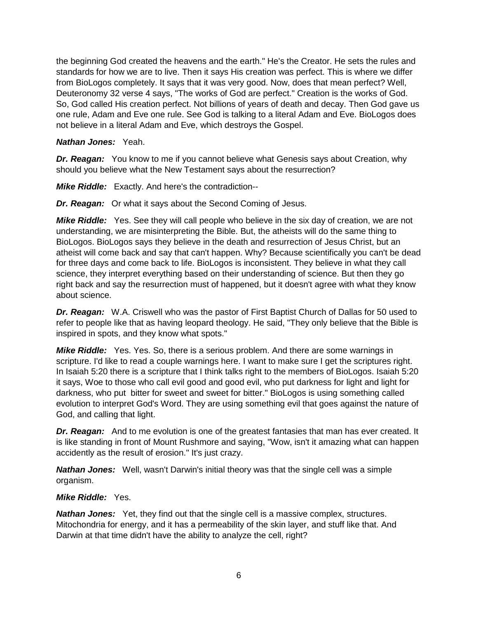the beginning God created the heavens and the earth." He's the Creator. He sets the rules and standards for how we are to live. Then it says His creation was perfect. This is where we differ from BioLogos completely. It says that it was very good. Now, does that mean perfect? Well, Deuteronomy 32 verse 4 says, "The works of God are perfect." Creation is the works of God. So, God called His creation perfect. Not billions of years of death and decay. Then God gave us one rule, Adam and Eve one rule. See God is talking to a literal Adam and Eve. BioLogos does not believe in a literal Adam and Eve, which destroys the Gospel.

# *Nathan Jones:* Yeah.

*Dr. Reagan:* You know to me if you cannot believe what Genesis says about Creation, why should you believe what the New Testament says about the resurrection?

*Mike Riddle:* Exactly. And here's the contradiction--

*Dr. Reagan:* Or what it says about the Second Coming of Jesus.

*Mike Riddle:* Yes. See they will call people who believe in the six day of creation, we are not understanding, we are misinterpreting the Bible. But, the atheists will do the same thing to BioLogos. BioLogos says they believe in the death and resurrection of Jesus Christ, but an atheist will come back and say that can't happen. Why? Because scientifically you can't be dead for three days and come back to life. BioLogos is inconsistent. They believe in what they call science, they interpret everything based on their understanding of science. But then they go right back and say the resurrection must of happened, but it doesn't agree with what they know about science.

**Dr. Reagan:** W.A. Criswell who was the pastor of First Baptist Church of Dallas for 50 used to refer to people like that as having leopard theology. He said, "They only believe that the Bible is inspired in spots, and they know what spots."

*Mike Riddle:* Yes. Yes. So, there is a serious problem. And there are some warnings in scripture. I'd like to read a couple warnings here. I want to make sure I get the scriptures right. In Isaiah 5:20 there is a scripture that I think talks right to the members of BioLogos. Isaiah 5:20 it says, Woe to those who call evil good and good evil, who put darkness for light and light for darkness, who put bitter for sweet and sweet for bitter." BioLogos is using something called evolution to interpret God's Word. They are using something evil that goes against the nature of God, and calling that light.

**Dr. Reagan:** And to me evolution is one of the greatest fantasies that man has ever created. It is like standing in front of Mount Rushmore and saying, "Wow, isn't it amazing what can happen accidently as the result of erosion." It's just crazy.

*Nathan Jones:* Well, wasn't Darwin's initial theory was that the single cell was a simple organism.

# *Mike Riddle:* Yes.

**Nathan Jones:** Yet, they find out that the single cell is a massive complex, structures. Mitochondria for energy, and it has a permeability of the skin layer, and stuff like that. And Darwin at that time didn't have the ability to analyze the cell, right?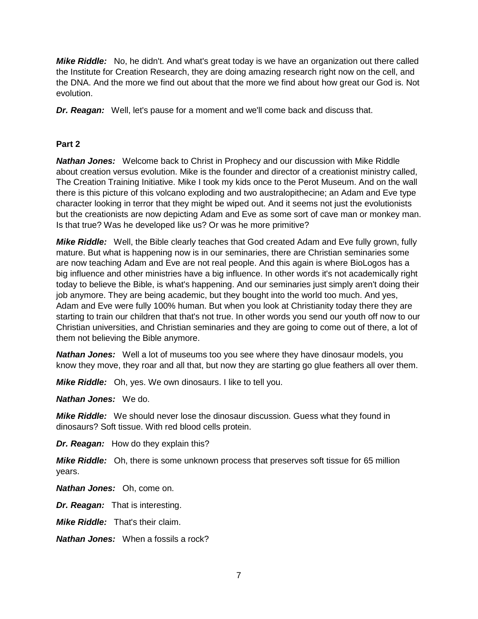*Mike Riddle:* No, he didn't. And what's great today is we have an organization out there called the Institute for Creation Research, they are doing amazing research right now on the cell, and the DNA. And the more we find out about that the more we find about how great our God is. Not evolution.

*Dr. Reagan:* Well, let's pause for a moment and we'll come back and discuss that.

# **Part 2**

*Nathan Jones:* Welcome back to Christ in Prophecy and our discussion with Mike Riddle about creation versus evolution. Mike is the founder and director of a creationist ministry called, The Creation Training Initiative. Mike I took my kids once to the Perot Museum. And on the wall there is this picture of this volcano exploding and two australopithecine; an Adam and Eve type character looking in terror that they might be wiped out. And it seems not just the evolutionists but the creationists are now depicting Adam and Eve as some sort of cave man or monkey man. Is that true? Was he developed like us? Or was he more primitive?

*Mike Riddle:* Well, the Bible clearly teaches that God created Adam and Eve fully grown, fully mature. But what is happening now is in our seminaries, there are Christian seminaries some are now teaching Adam and Eve are not real people. And this again is where BioLogos has a big influence and other ministries have a big influence. In other words it's not academically right today to believe the Bible, is what's happening. And our seminaries just simply aren't doing their job anymore. They are being academic, but they bought into the world too much. And yes, Adam and Eve were fully 100% human. But when you look at Christianity today there they are starting to train our children that that's not true. In other words you send our youth off now to our Christian universities, and Christian seminaries and they are going to come out of there, a lot of them not believing the Bible anymore.

*Nathan Jones:* Well a lot of museums too you see where they have dinosaur models, you know they move, they roar and all that, but now they are starting go glue feathers all over them.

*Mike Riddle:* Oh, yes. We own dinosaurs. I like to tell you.

*Nathan Jones:* We do.

*Mike Riddle:* We should never lose the dinosaur discussion. Guess what they found in dinosaurs? Soft tissue. With red blood cells protein.

**Dr. Reagan:** How do they explain this?

*Mike Riddle:* Oh, there is some unknown process that preserves soft tissue for 65 million years.

*Nathan Jones:* Oh, come on.

*Dr. Reagan:* That is interesting.

*Mike Riddle:* That's their claim.

*Nathan Jones:* When a fossils a rock?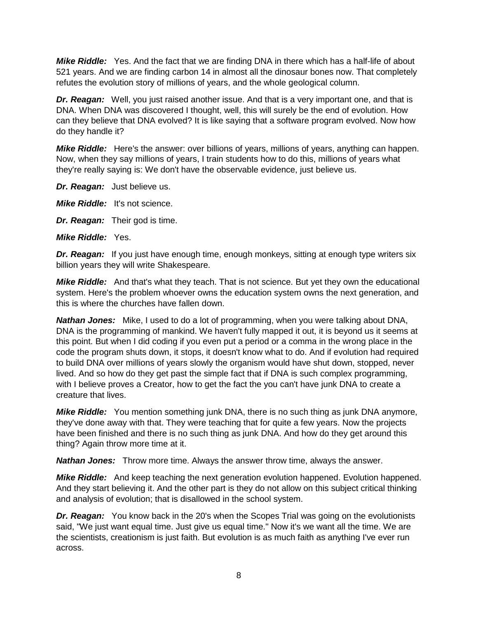*Mike Riddle:* Yes. And the fact that we are finding DNA in there which has a half-life of about 521 years. And we are finding carbon 14 in almost all the dinosaur bones now. That completely refutes the evolution story of millions of years, and the whole geological column.

*Dr. Reagan:* Well, you just raised another issue. And that is a very important one, and that is DNA. When DNA was discovered I thought, well, this will surely be the end of evolution. How can they believe that DNA evolved? It is like saying that a software program evolved. Now how do they handle it?

*Mike Riddle:* Here's the answer: over billions of years, millions of years, anything can happen. Now, when they say millions of years, I train students how to do this, millions of years what they're really saying is: We don't have the observable evidence, just believe us.

*Dr. Reagan:* Just believe us.

*Mike Riddle:* It's not science.

*Dr. Reagan:* Their god is time.

*Mike Riddle:* Yes.

*Dr. Reagan:* If you just have enough time, enough monkeys, sitting at enough type writers six billion years they will write Shakespeare.

*Mike Riddle:* And that's what they teach. That is not science. But yet they own the educational system. Here's the problem whoever owns the education system owns the next generation, and this is where the churches have fallen down.

*Nathan Jones:* Mike, I used to do a lot of programming, when you were talking about DNA, DNA is the programming of mankind. We haven't fully mapped it out, it is beyond us it seems at this point. But when I did coding if you even put a period or a comma in the wrong place in the code the program shuts down, it stops, it doesn't know what to do. And if evolution had required to build DNA over millions of years slowly the organism would have shut down, stopped, never lived. And so how do they get past the simple fact that if DNA is such complex programming, with I believe proves a Creator, how to get the fact the you can't have junk DNA to create a creature that lives.

*Mike Riddle:* You mention something junk DNA, there is no such thing as junk DNA anymore, they've done away with that. They were teaching that for quite a few years. Now the projects have been finished and there is no such thing as junk DNA. And how do they get around this thing? Again throw more time at it.

*Nathan Jones:* Throw more time. Always the answer throw time, always the answer.

*Mike Riddle:* And keep teaching the next generation evolution happened. Evolution happened. And they start believing it. And the other part is they do not allow on this subject critical thinking and analysis of evolution; that is disallowed in the school system.

*Dr. Reagan:* You know back in the 20's when the Scopes Trial was going on the evolutionists said, "We just want equal time. Just give us equal time." Now it's we want all the time. We are the scientists, creationism is just faith. But evolution is as much faith as anything I've ever run across.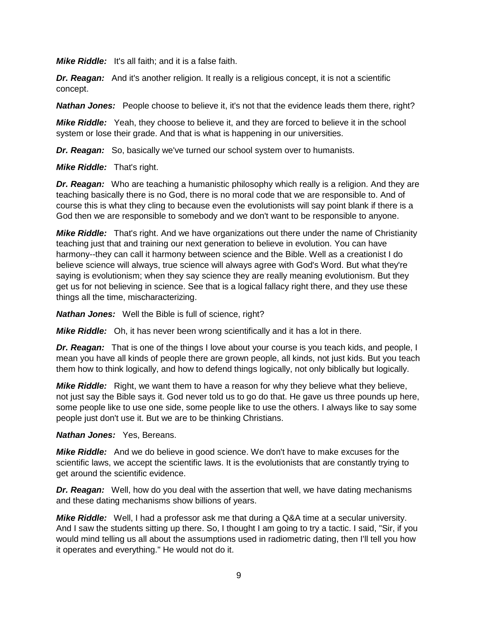*Mike Riddle:* It's all faith; and it is a false faith.

*Dr. Reagan:* And it's another religion. It really is a religious concept, it is not a scientific concept.

**Nathan Jones:** People choose to believe it, it's not that the evidence leads them there, right?

*Mike Riddle:* Yeah, they choose to believe it, and they are forced to believe it in the school system or lose their grade. And that is what is happening in our universities.

*Dr. Reagan:* So, basically we've turned our school system over to humanists.

#### *Mike Riddle:* That's right.

**Dr. Reagan:** Who are teaching a humanistic philosophy which really is a religion. And they are teaching basically there is no God, there is no moral code that we are responsible to. And of course this is what they cling to because even the evolutionists will say point blank if there is a God then we are responsible to somebody and we don't want to be responsible to anyone.

*Mike Riddle:* That's right. And we have organizations out there under the name of Christianity teaching just that and training our next generation to believe in evolution. You can have harmony--they can call it harmony between science and the Bible. Well as a creationist I do believe science will always, true science will always agree with God's Word. But what they're saying is evolutionism; when they say science they are really meaning evolutionism. But they get us for not believing in science. See that is a logical fallacy right there, and they use these things all the time, mischaracterizing.

*Nathan Jones:* Well the Bible is full of science, right?

*Mike Riddle:* Oh, it has never been wrong scientifically and it has a lot in there.

**Dr. Reagan:** That is one of the things I love about your course is you teach kids, and people, I mean you have all kinds of people there are grown people, all kinds, not just kids. But you teach them how to think logically, and how to defend things logically, not only biblically but logically.

**Mike Riddle:** Right, we want them to have a reason for why they believe what they believe, not just say the Bible says it. God never told us to go do that. He gave us three pounds up here, some people like to use one side, some people like to use the others. I always like to say some people just don't use it. But we are to be thinking Christians.

#### *Nathan Jones:* Yes, Bereans.

*Mike Riddle:* And we do believe in good science. We don't have to make excuses for the scientific laws, we accept the scientific laws. It is the evolutionists that are constantly trying to get around the scientific evidence.

**Dr. Reagan:** Well, how do you deal with the assertion that well, we have dating mechanisms and these dating mechanisms show billions of years.

*Mike Riddle:* Well, I had a professor ask me that during a Q&A time at a secular university. And I saw the students sitting up there. So, I thought I am going to try a tactic. I said, "Sir, if you would mind telling us all about the assumptions used in radiometric dating, then I'll tell you how it operates and everything." He would not do it.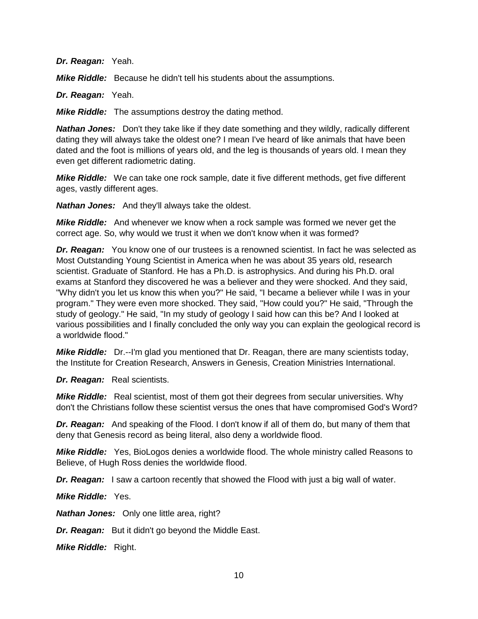*Dr. Reagan:* Yeah.

*Mike Riddle:* Because he didn't tell his students about the assumptions.

*Dr. Reagan:* Yeah.

*Mike Riddle:* The assumptions destroy the dating method.

*Nathan Jones:* Don't they take like if they date something and they wildly, radically different dating they will always take the oldest one? I mean I've heard of like animals that have been dated and the foot is millions of years old, and the leg is thousands of years old. I mean they even get different radiometric dating.

*Mike Riddle:* We can take one rock sample, date it five different methods, get five different ages, vastly different ages.

*Nathan Jones:* And they'll always take the oldest.

*Mike Riddle:* And whenever we know when a rock sample was formed we never get the correct age. So, why would we trust it when we don't know when it was formed?

**Dr. Reagan:** You know one of our trustees is a renowned scientist. In fact he was selected as Most Outstanding Young Scientist in America when he was about 35 years old, research scientist. Graduate of Stanford. He has a Ph.D. is astrophysics. And during his Ph.D. oral exams at Stanford they discovered he was a believer and they were shocked. And they said, "Why didn't you let us know this when you?" He said, "I became a believer while I was in your program." They were even more shocked. They said, "How could you?" He said, "Through the study of geology." He said, "In my study of geology I said how can this be? And I looked at various possibilities and I finally concluded the only way you can explain the geological record is a worldwide flood."

*Mike Riddle:* Dr.--I'm glad you mentioned that Dr. Reagan, there are many scientists today, the Institute for Creation Research, Answers in Genesis, Creation Ministries International.

*Dr. Reagan:* Real scientists.

*Mike Riddle:* Real scientist, most of them got their degrees from secular universities. Why don't the Christians follow these scientist versus the ones that have compromised God's Word?

*Dr. Reagan:* And speaking of the Flood. I don't know if all of them do, but many of them that deny that Genesis record as being literal, also deny a worldwide flood.

*Mike Riddle:* Yes, BioLogos denies a worldwide flood. The whole ministry called Reasons to Believe, of Hugh Ross denies the worldwide flood.

*Dr. Reagan:* I saw a cartoon recently that showed the Flood with just a big wall of water.

*Mike Riddle:* Yes.

**Nathan Jones:** Only one little area, right?

*Dr. Reagan:* But it didn't go beyond the Middle East.

*Mike Riddle:* Right.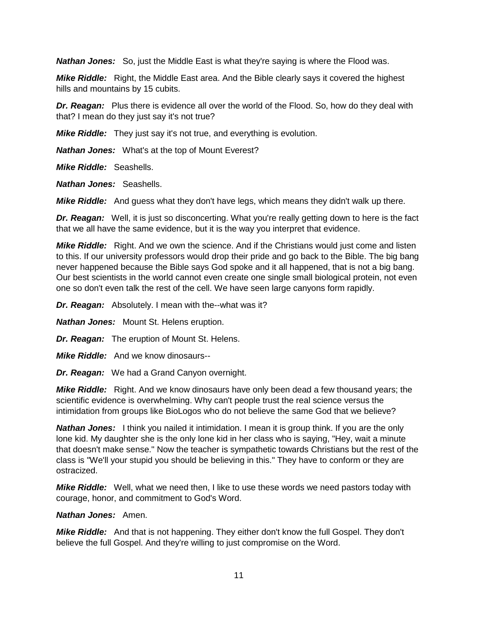*Nathan Jones:* So, just the Middle East is what they're saying is where the Flood was.

*Mike Riddle:* Right, the Middle East area. And the Bible clearly says it covered the highest hills and mountains by 15 cubits.

**Dr. Reagan:** Plus there is evidence all over the world of the Flood. So, how do they deal with that? I mean do they just say it's not true?

*Mike Riddle:* They just say it's not true, and everything is evolution.

*Nathan Jones:* What's at the top of Mount Everest?

*Mike Riddle:* Seashells.

*Nathan Jones:* Seashells.

*Mike Riddle:* And guess what they don't have legs, which means they didn't walk up there.

**Dr. Reagan:** Well, it is just so disconcerting. What you're really getting down to here is the fact that we all have the same evidence, but it is the way you interpret that evidence.

*Mike Riddle:* Right. And we own the science. And if the Christians would just come and listen to this. If our university professors would drop their pride and go back to the Bible. The big bang never happened because the Bible says God spoke and it all happened, that is not a big bang. Our best scientists in the world cannot even create one single small biological protein, not even one so don't even talk the rest of the cell. We have seen large canyons form rapidly.

*Dr. Reagan:* Absolutely. I mean with the--what was it?

*Nathan Jones:* Mount St. Helens eruption.

*Dr. Reagan:* The eruption of Mount St. Helens.

*Mike Riddle:* And we know dinosaurs--

*Dr. Reagan:* We had a Grand Canyon overnight.

*Mike Riddle:* Right. And we know dinosaurs have only been dead a few thousand years; the scientific evidence is overwhelming. Why can't people trust the real science versus the intimidation from groups like BioLogos who do not believe the same God that we believe?

*Nathan Jones:* I think you nailed it intimidation. I mean it is group think. If you are the only lone kid. My daughter she is the only lone kid in her class who is saying, "Hey, wait a minute that doesn't make sense." Now the teacher is sympathetic towards Christians but the rest of the class is "We'll your stupid you should be believing in this." They have to conform or they are ostracized.

*Mike Riddle:* Well, what we need then, I like to use these words we need pastors today with courage, honor, and commitment to God's Word.

#### *Nathan Jones:* Amen.

*Mike Riddle:* And that is not happening. They either don't know the full Gospel. They don't believe the full Gospel. And they're willing to just compromise on the Word.